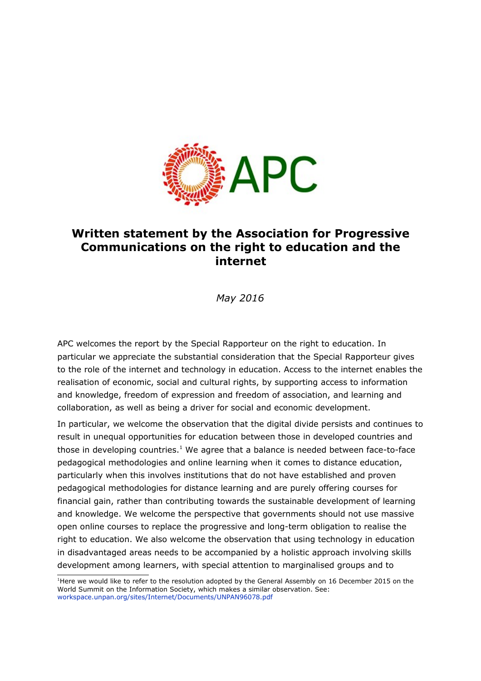

## **Written statement by the Association for Progressive Communications on the right to education and the internet**

*May 2016*

APC welcomes the report by the Special Rapporteur on the right to education. In particular we appreciate the substantial consideration that the Special Rapporteur gives to the role of the internet and technology in education. Access to the internet enables the realisation of economic, social and cultural rights, by supporting access to information and knowledge, freedom of expression and freedom of association, and learning and collaboration, as well as being a driver for social and economic development.

In particular, we welcome the observation that the digital divide persists and continues to result in unequal opportunities for education between those in developed countries and those in developing countries.<sup>[1](#page-0-0)</sup> We agree that a balance is needed between face-to-face pedagogical methodologies and online learning when it comes to distance education, particularly when this involves institutions that do not have established and proven pedagogical methodologies for distance learning and are purely offering courses for financial gain, rather than contributing towards the sustainable development of learning and knowledge. We welcome the perspective that governments should not use massive open online courses to replace the progressive and long-term obligation to realise the right to education. We also welcome the observation that using technology in education in disadvantaged areas needs to be accompanied by a holistic approach involving skills development among learners, with special attention to marginalised groups and to

<span id="page-0-0"></span><sup>&</sup>lt;sup>1</sup>Here we would like to refer to the resolution adopted by the General Assembly on 16 December 2015 on the World Summit on the Information Society, which makes a similar observation. See: [workspace.unpan.org/sites/Internet/Documents/UNPAN96078.pdf](http://workspace.unpan.org/sites/Internet/Documents/UNPAN96078.pdf)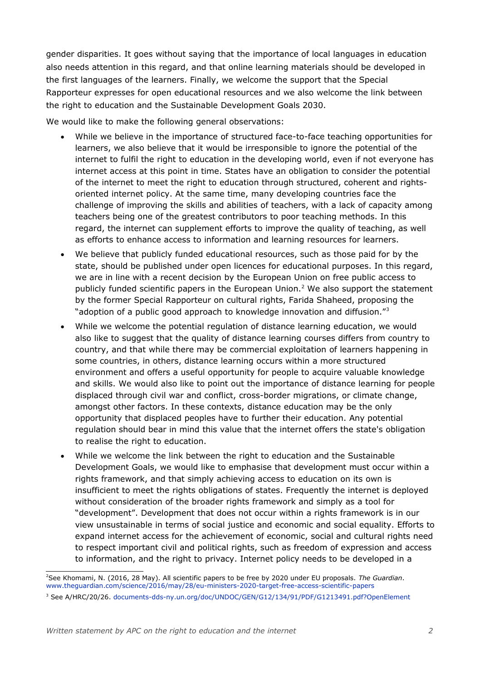gender disparities. It goes without saying that the importance of local languages in education also needs attention in this regard, and that online learning materials should be developed in the first languages of the learners. Finally, we welcome the support that the Special Rapporteur expresses for open educational resources and we also welcome the link between the right to education and the Sustainable Development Goals 2030.

We would like to make the following general observations:

- While we believe in the importance of structured face-to-face teaching opportunities for learners, we also believe that it would be irresponsible to ignore the potential of the internet to fulfil the right to education in the developing world, even if not everyone has internet access at this point in time. States have an obligation to consider the potential of the internet to meet the right to education through structured, coherent and rightsoriented internet policy. At the same time, many developing countries face the challenge of improving the skills and abilities of teachers, with a lack of capacity among teachers being one of the greatest contributors to poor teaching methods. In this regard, the internet can supplement efforts to improve the quality of teaching, as well as efforts to enhance access to information and learning resources for learners.
- We believe that publicly funded educational resources, such as those paid for by the state, should be published under open licences for educational purposes. In this regard, we are in line with a recent decision by the European Union on free public access to publicly funded scientific papers in the European Union.<sup>[2](#page-1-0)</sup> We also support the statement by the former Special Rapporteur on cultural rights, Farida Shaheed, proposing the "adoption of a public good approach to knowledge innovation and diffusion." $3$
- While we welcome the potential regulation of distance learning education, we would also like to suggest that the quality of distance learning courses differs from country to country, and that while there may be commercial exploitation of learners happening in some countries, in others, distance learning occurs within a more structured environment and offers a useful opportunity for people to acquire valuable knowledge and skills. We would also like to point out the importance of distance learning for people displaced through civil war and conflict, cross-border migrations, or climate change, amongst other factors. In these contexts, distance education may be the only opportunity that displaced peoples have to further their education. Any potential regulation should bear in mind this value that the internet offers the state's obligation to realise the right to education.
- While we welcome the link between the right to education and the Sustainable Development Goals, we would like to emphasise that development must occur within a rights framework, and that simply achieving access to education on its own is insufficient to meet the rights obligations of states. Frequently the internet is deployed without consideration of the broader rights framework and simply as a tool for "development". Development that does not occur within a rights framework is in our view unsustainable in terms of social justice and economic and social equality. Efforts to expand internet access for the achievement of economic, social and cultural rights need to respect important civil and political rights, such as freedom of expression and access to information, and the right to privacy. Internet policy needs to be developed in a

<span id="page-1-0"></span><sup>2</sup>See Khomami, N. (2016, 28 May). All scientific papers to be free by 2020 under EU proposals. *The Guardian*. [www.theguardian.com/science/2016/may/28/eu-ministers-2020-target-free-access-scientific-papers](https://www.theguardian.com/science/2016/may/28/eu-ministers-2020-target-free-access-scientific-papers)

<span id="page-1-1"></span><sup>3</sup> See A/HRC/20/26. [documents-dds-ny.un.org/doc/UNDOC/GEN/G12/134/91/PDF/G1213491.pdf?OpenElement](https://documents-dds-ny.un.org/doc/UNDOC/GEN/G12/134/91/PDF/G1213491.pdf?OpenElement)